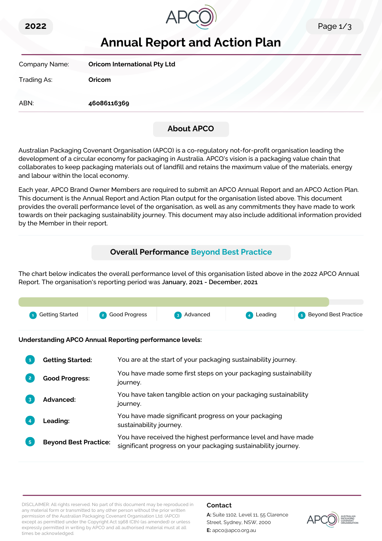



# **Annual Report and Action Plan**

| Company Name: | <b>Oricom International Pty Ltd</b> |
|---------------|-------------------------------------|
| Trading As:   | Oricom                              |
| ABN:          | 46086116369                         |
|               |                                     |

# **About APCO**

Australian Packaging Covenant Organisation (APCO) is a co-regulatory not-for-profit organisation leading the development of a circular economy for packaging in Australia. APCO's vision is a packaging value chain that collaborates to keep packaging materials out of landfill and retains the maximum value of the materials, energy and labour within the local economy.

Each year, APCO Brand Owner Members are required to submit an APCO Annual Report and an APCO Action Plan. This document is the Annual Report and Action Plan output for the organisation listed above. This document provides the overall performance level of the organisation, as well as any commitments they have made to work towards on their packaging sustainability journey. This document may also include additional information provided by the Member in their report.

# **Overall Performance Beyond Best Practice**

The chart below indicates the overall performance level of this organisation listed above in the 2022 APCO Annual Report. The organisation's reporting period was **January, 2021 - December, 2021**.



**Understanding APCO Annual Reporting performance levels:**

|    | <b>Getting Started:</b>      | You are at the start of your packaging sustainability journey.                                                                  |
|----|------------------------------|---------------------------------------------------------------------------------------------------------------------------------|
|    | <b>Good Progress:</b>        | You have made some first steps on your packaging sustainability<br>journey.                                                     |
| 3  | Advanced:                    | You have taken tangible action on your packaging sustainability<br>journey.                                                     |
|    | <b>Leading:</b>              | You have made significant progress on your packaging<br>sustainability journey.                                                 |
| 5. | <b>Beyond Best Practice:</b> | You have received the highest performance level and have made<br>significant progress on your packaging sustainability journey. |

DISCLAIMER: All rights reserved. No part of this document may be reproduced in any material form or transmitted to any other person without the prior written permission of the Australian Packaging Covenant Organisation Ltd. (APCO) except as permitted under the Copyright Act 1968 (Cth) (as amended) or unless expressly permitted in writing by APCO and all authorised material must at all times be acknowledged.

### **Contact**

**A:** Suite 1102, Level 11, 55 Clarence Street, Sydney, NSW, 2000 **E:** apco@apco.org.au

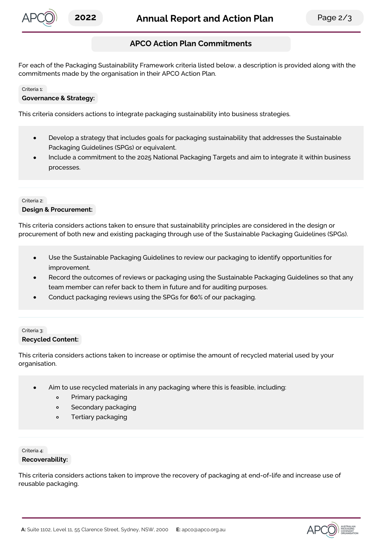

# **APCO Action Plan Commitments**

For each of the Packaging Sustainability Framework criteria listed below, a description is provided along with the commitments made by the organisation in their APCO Action Plan.

#### Criteria 1:

### **Governance & Strategy:**

This criteria considers actions to integrate packaging sustainability into business strategies.

- Develop a strategy that includes goals for packaging sustainability that addresses the Sustainable  $\bullet$ Packaging Guidelines (SPGs) or equivalent.
- Include a commitment to the 2025 National Packaging Targets and aim to integrate it within business processes.

#### Criteria 2:

#### **Design & Procurement:**

This criteria considers actions taken to ensure that sustainability principles are considered in the design or procurement of both new and existing packaging through use of the Sustainable Packaging Guidelines (SPGs).

- Use the Sustainable Packaging Guidelines to review our packaging to identify opportunities for improvement.
- Record the outcomes of reviews or packaging using the Sustainable Packaging Guidelines so that any team member can refer back to them in future and for auditing purposes.
- Conduct packaging reviews using the SPGs for **60**% of our packaging.

### Criteria 3: **Recycled Content:**

This criteria considers actions taken to increase or optimise the amount of recycled material used by your organisation.

- Aim to use recycled materials in any packaging where this is feasible, including:
	- Primary packaging  $\circ$
	- $\circ$ Secondary packaging
	- $\circ$ Tertiary packaging

#### Criteria 4:

#### **Recoverability:**

This criteria considers actions taken to improve the recovery of packaging at end-of-life and increase use of reusable packaging.